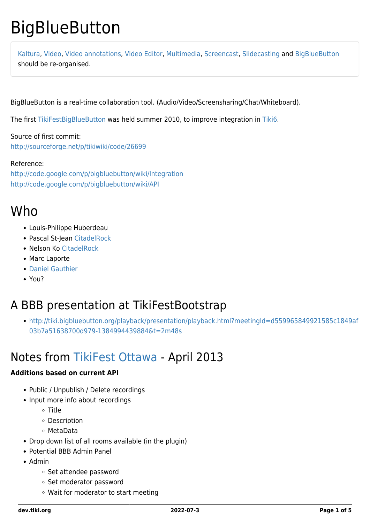# **BigBlueButton**

[Kaltura](https://dev.tiki.org/Kaltura), [Video,](https://dev.tiki.org/Video) [Video annotations,](https://dev.tiki.org/Video-annotations) [Video Editor](https://dev.tiki.org/Video-Editor), [Multimedia,](https://dev.tiki.org/MultiMedia) [Screencast,](https://dev.tiki.org/Screencast) [Slidecasting](https://dev.tiki.org/Slidecasting) and [BigBlueButton](https://dev.tiki.org/BigBlueButton) should be re-organised.

BigBlueButton is a real-time collaboration tool. (Audio/Video/Screensharing/Chat/Whiteboard).

The first [TikiFestBigBlueButton](http://tiki.org/TikiFestBigBlueButton) was held summer 2010, to improve integration in [Tiki6.](https://dev.tiki.org/Tiki6)

Source of first commit: <http://sourceforge.net/p/tikiwiki/code/26699>

#### Reference:

<http://code.google.com/p/bigbluebutton/wiki/Integration> <http://code.google.com/p/bigbluebutton/wiki/API>

### Who

- Louis-Philippe Huberdeau
- Pascal St-Jean [CitadelRock](https://dev.tiki.org/CitadelRock)
- Nelson Ko [CitadelRock](https://dev.tiki.org/CitadelRock)
- Marc Laporte
- [Daniel Gauthier](http://tiki.org/userPagedaniam)
- You?

### A BBB presentation at TikiFestBootstrap

• [http://tiki.bigbluebutton.org/playback/presentation/playback.html?meetingId=d559965849921585c1849af](http://tiki.bigbluebutton.org/playback/presentation/playback.html?meetingId=d559965849921585c1849af03b7a51638700d979-1384994439884&t=2m48s) [03b7a51638700d979-1384994439884&t=2m48s](http://tiki.bigbluebutton.org/playback/presentation/playback.html?meetingId=d559965849921585c1849af03b7a51638700d979-1384994439884&t=2m48s)

### Notes from [TikiFest Ottawa](http://tiki.org/TikiFestMontreal-Ottawa11) - April 2013

#### **Additions based on current API**

- Public / Unpublish / Delete recordings
- Input more info about recordings
	- Title
	- Description
	- MetaData
- Drop down list of all rooms available (in the plugin)
- Potential BBB Admin Panel
- Admin
	- Set attendee password
	- o Set moderator password
	- Wait for moderator to start meeting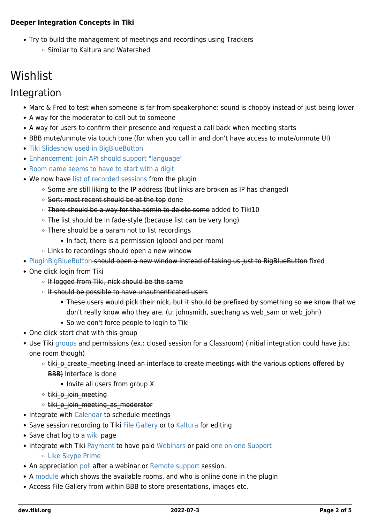#### **Deeper Integration Concepts in Tiki**

- Try to build the management of meetings and recordings using Trackers
	- Similar to Kaltura and Watershed

## **Wishlist**

#### Integration

- Marc & Fred to test when someone is far from speakerphone: sound is choppy instead of just being lower
- A way for the moderator to call out to someone
- A way for users to confirm their presence and request a call back when meeting starts
- BBB mute/unmute via touch tone (for when you call in and don't have access to mute/unmute UI)
- [Tiki Slideshow used in BigBlueButton](https://dev.tiki.org/Tiki-Slideshow-used-in-BigBlueButton)
- [Enhancement: Join API should support "language"](http://code.google.com/p/bigbluebutton/issues/detail?id=806)
- [Room name seems to have to start with a digit](http://code.google.com/p/bigbluebutton/issues/detail?id=697)
- We now have [list of recorded sessions](http://tiki.org/live) from the plugin
	- Some are still liking to the IP address (but links are broken as IP has changed)
	- o Sort: most recent should be at the top done
	- $\circ$  There should be a way for the admin to delete some added to Tiki10
	- The list should be in fade-style (because list can be very long)
	- There should be a param not to list recordings
		- In fact, there is a permission (global and per room)
	- Links to recordings should open a new window
- [PluginBigBlueButton](http://doc.tiki.org/PluginBigBlueButton) should open a new window instead of taking us just to BigBlueButton fixed
- One click login from Tiki
	- o If logged from Tiki, nick should be the same
	- o It should be possible to have unauthenticated users
		- These users would pick their nick, but it should be prefixed by something so we know that we don't really know who they are. (u: johnsmith, suechang vs web sam or web john)
		- So we don't force people to login to Tiki
- One click start chat with this group
- Use Tiki [groups](http://doc.tiki.org/groups) and permissions (ex.: closed session for a Classroom) (initial integration could have just one room though)
	- o tiki p create meeting (need an interface to create meetings with the various options offered by BBB) Interface is done
		- **Invite all users from group X**
	- $\circ$  tiki p join meeting
	- o tiki p join meeting as moderator
- Integrate with [Calendar](https://dev.tiki.org/Calendar) to schedule meetings
- Save session recording to Tiki [File Gallery](https://dev.tiki.org/File-Gallery) or to [Kaltura](https://dev.tiki.org/Kaltura) for editing
- Save chat log to a [wiki](https://dev.tiki.org/Wiki) page
- Integrate with Tiki [Payment](https://dev.tiki.org/Payment) to have paid [Webinars](http://doc.tiki.org/BigBlueButton#Webinars_e-learning) or paid [one on one Support](http://doc.tiki.org/BigBlueButton#Remote_support)
	- [Like Skype Prime](http://arstechnica.com/tech-policy/news/2009/07/skype-prime-wont-make-global-phone-sex-operators-rich.ars)
- An appreciation [poll](https://dev.tiki.org/Poll) after a webinar or [Remote support](http://doc.tiki.org/BigBlueButton#Remote_support) session.
- A [module](https://dev.tiki.org/Modules) which shows the available rooms, and who is online done in the plugin
- Access File Gallery from within BBB to store presentations, images etc.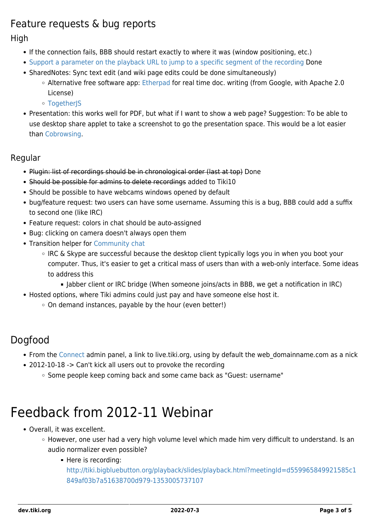### Feature requests & bug reports

High

- If the connection fails, BBB should restart exactly to where it was (window positioning, etc.)
- [Support a parameter on the playback URL to jump to a specific segment of the recording](http://code.google.com/p/bigbluebutton/issues/detail?id=1126) Done
- SharedNotes: Sync text edit (and wiki page edits could be done simultaneously)
	- Alternative free software app: [Etherpad](http://en.wikipedia.org/wiki/EtherPad) for real time doc. writing (from Google, with Apache 2.0 License)
		- o [TogetherJS](https://dev.tiki.org/TogetherJS)
- Presentation: this works well for PDF, but what if I want to show a web page? Suggestion: To be able to use desktop share applet to take a screenshot to go the presentation space. This would be a lot easier than [Cobrowsing.](http://groups.google.com/group/bigbluebutton-dev/browse_thread/thread/785e38070c1656f1/7df4f28fdb61cd92?pli=1)

#### Regular

- Plugin: list of recordings should be in chronological order (last at top) Done
- Should be possible for admins to delete recordings added to Tiki10
- Should be possible to have webcams windows opened by default
- bug/feature request: two users can have some username. Assuming this is a bug, BBB could add a suffix to second one (like IRC)
- Feature request: colors in chat should be auto-assigned
- Bug: clicking on camera doesn't always open them
- Transition helper for [Community chat](http://doc.tiki.org/BigBlueButton#Community_chat)
	- IRC & Skype are successful because the desktop client typically logs you in when you boot your computer. Thus, it's easier to get a critical mass of users than with a web-only interface. Some ideas to address this
		- Jabber client or IRC bridge (When someone joins/acts in BBB, we get a notification in IRC)
- Hosted options, where Tiki admins could just pay and have someone else host it.
	- On demand instances, payable by the hour (even better!)

### Dogfood

- From the [Connect](https://dev.tiki.org/Connect) admin panel, a link to live.tiki.org, using by default the web domainname.com as a nick
- 2012-10-18 -> Can't kick all users out to provoke the recording
	- o Some people keep coming back and some came back as "Guest: username"

## Feedback from 2012-11 Webinar

- Overall, it was excellent.
	- o However, one user had a very high volume level which made him very difficult to understand. Is an audio normalizer even possible?
		- Here is recording:

[http://tiki.bigbluebutton.org/playback/slides/playback.html?meetingId=d559965849921585c1](http://tiki.bigbluebutton.org/playback/slides/playback.html?meetingId=d559965849921585c1849af03b7a51638700d979-1353005737107) [849af03b7a51638700d979-1353005737107](http://tiki.bigbluebutton.org/playback/slides/playback.html?meetingId=d559965849921585c1849af03b7a51638700d979-1353005737107)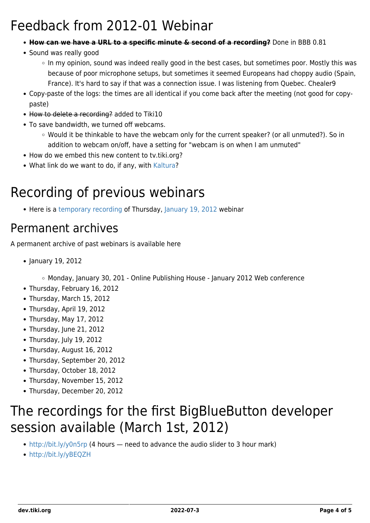## Feedback from 2012-01 Webinar

- **How can we have a URL to a specific minute & second of a recording?** Done in BBB 0.81
- Sound was really good
	- . In my opinion, sound was indeed really good in the best cases, but sometimes poor. Mostly this was because of poor microphone setups, but sometimes it seemed Europeans had choppy audio (Spain, France). It's hard to say if that was a connection issue. I was listening from Quebec. Chealer9
- Copy-paste of the logs: the times are all identical if you come back after the meeting (not good for copypaste)
- How to delete a recording? added to Tiki10
- To save bandwidth, we turned off webcams.
	- Would it be thinkable to have the webcam only for the current speaker? (or all unmuted?). So in addition to webcam on/off, have a setting for "webcam is on when I am unmuted"
- How do we embed this new content to tv.tiki.org?
- What link do we want to do, if any, with [Kaltura](https://dev.tiki.org/Kaltura)?

## Recording of previous webinars

• Here is a [temporary recording](http://imagesetsons.net/da/projet/tw/tikiWebinar012Jan19.mp3) of Thursday, [January 19, 2012](https://tiki.org/January+2012+Webinar) webinar

### Permanent archives

A permanent archive of past webinars is available here

• January 19, 2012

Monday, January 30, 201 - Online Publishing House - January 2012 Web conference

- Thursday, February 16, 2012
- Thursday, March 15, 2012
- Thursday, April 19, 2012
- Thursday, May 17, 2012
- Thursday, June 21, 2012
- Thursday, July 19, 2012
- Thursday, August 16, 2012
- Thursday, September 20, 2012
- Thursday, October 18, 2012
- Thursday, November 15, 2012
- Thursday, December 20, 2012

## The recordings for the first BigBlueButton developer session available (March 1st, 2012)

- <http://bit.ly/y0n5rp> (4 hours need to advance the audio slider to 3 hour mark)
- <http://bit.ly/yBEQZH>